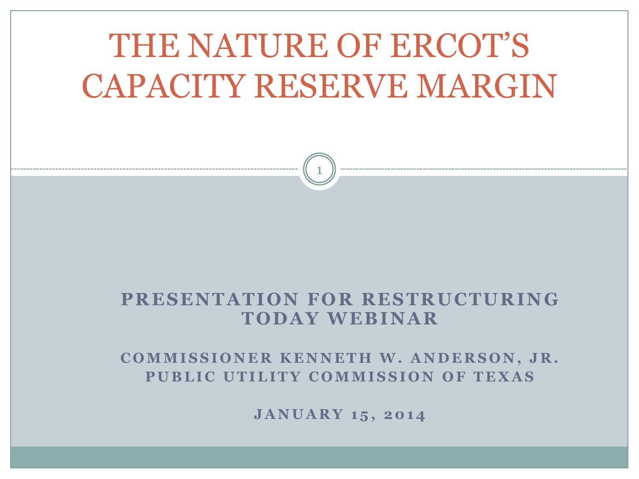# THE NATURE OF ERCOT'S CAPACITY RESERVE MARGIN

1

#### **PRESENTA TION FOR RESTRUCTURING TODA Y WEBINA R**

#### **COMMISSIONER KENNETH W. ANDERSON, JR.** PUBLIC UTILITY COMMISSION OF TEXAS

**J A N U A R Y 1 5 , 2 0 1 4**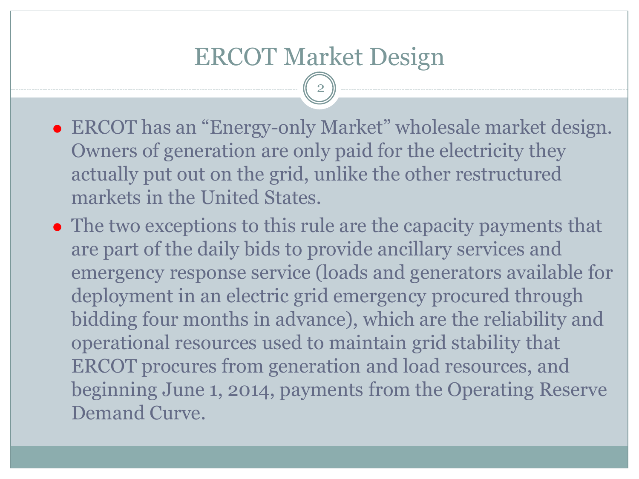- ERCOT has an "Energy-only Market" wholesale market design. Owners of generation are only paid for the electricity they actually put out on the grid, unlike the other restructured markets in the United States.
- The two exceptions to this rule are the capacity payments that are part of the daily bids to provide ancillary services and emergency response service (loads and generators available for deployment in an electric grid emergency procured through bidding four months in advance), which are the reliability and operational resources used to maintain grid stability that ERCOT procures from generation and load resources, and beginning June 1, 2014, payments from the Operating Reserve Demand Curve.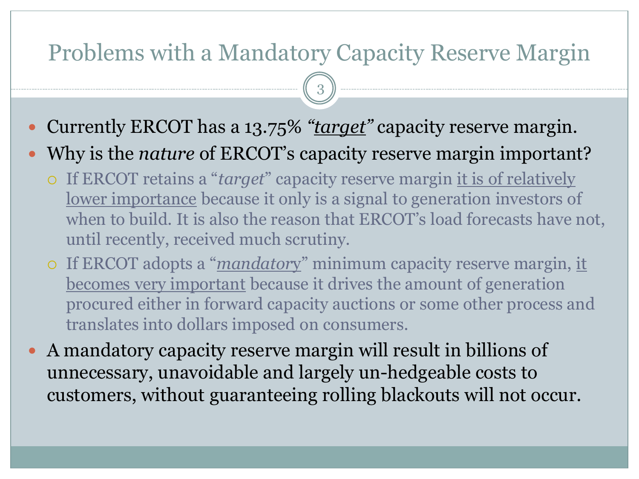### Problems with a Mandatory Capacity Reserve Margin

- Currently ERCOT has a 13.75% *"target"* capacity reserve margin.
- Why is the *nature* of ERCOT's capacity reserve margin important?
	- If ERCOT retains a "*target*" capacity reserve margin it is of relatively lower importance because it only is a signal to generation investors of when to build. It is also the reason that ERCOT's load forecasts have not, until recently, received much scrutiny.
	- If ERCOT adopts a "*mandator*y" minimum capacity reserve margin, it becomes very important because it drives the amount of generation procured either in forward capacity auctions or some other process and translates into dollars imposed on consumers.
- A mandatory capacity reserve margin will result in billions of unnecessary, unavoidable and largely un-hedgeable costs to customers, without guaranteeing rolling blackouts will not occur.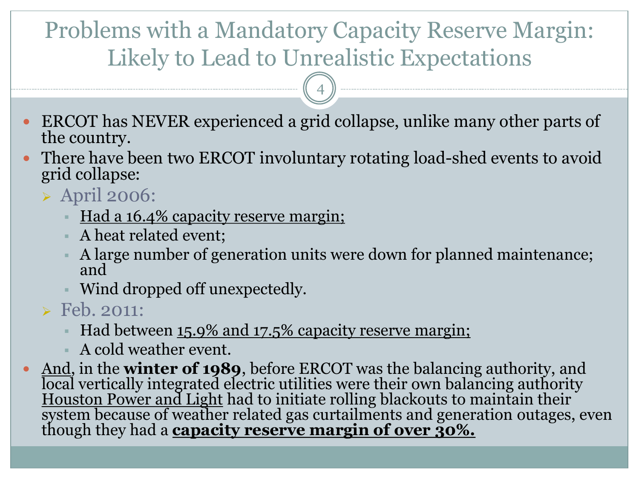### Problems with a Mandatory Capacity Reserve Margin: Likely to Lead to Unrealistic Expectations

4

- ERCOT has NEVER experienced a grid collapse, unlike many other parts of the country.
- There have been two ERCOT involuntary rotating load-shed events to avoid grid collapse:
	- April 2006:
		- Had a 16.4% capacity reserve margin;
		- A heat related event;
		- A large number of generation units were down for planned maintenance; and
		- Wind dropped off unexpectedly.

 $\triangleright$  Feb. 2011:

- Had between 15.9% and 17.5% capacity reserve margin;
- A cold weather event.
- And, in the **winter of 1989**, before ERCOT was the balancing authority, and local vertically integrated electric utilities were their own balancing authority Houston Power and Light had to initiate rolling blackouts to maintain their system because of weather related gas curtailments and generation outages, even though they had a **capacity reserve margin of over 30%.**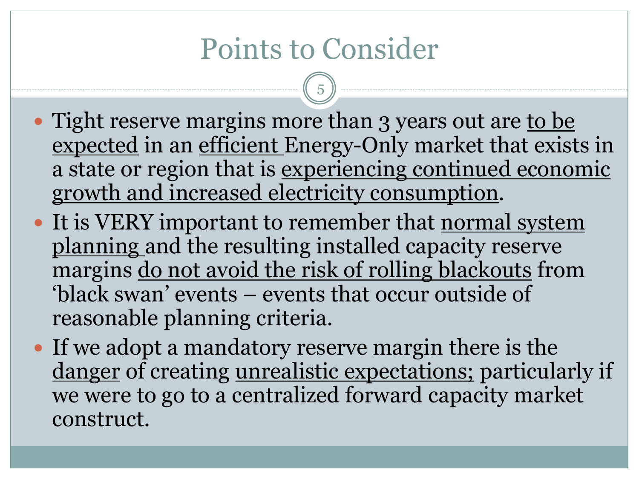## Points to Consider

- Tight reserve margins more than 3 years out are to be expected in an efficient Energy-Only market that exists in a state or region that is experiencing continued economic growth and increased electricity consumption.
- It is VERY important to remember that normal system planning and the resulting installed capacity reserve margins do not avoid the risk of rolling blackouts from 'black swan' events – events that occur outside of reasonable planning criteria.
- If we adopt a mandatory reserve margin there is the danger of creating unrealistic expectations; particularly if we were to go to a centralized forward capacity market construct.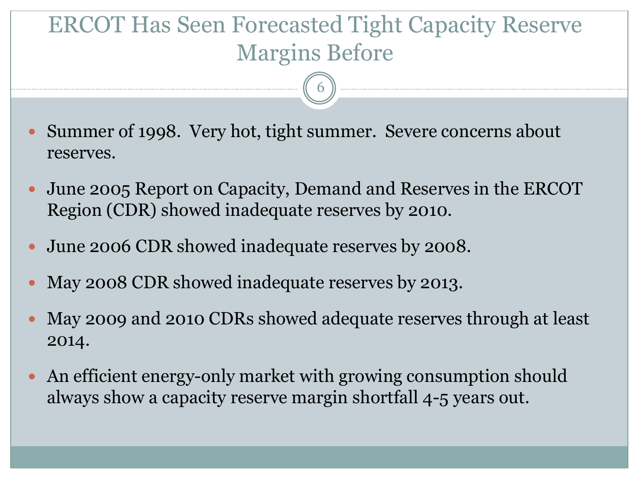### ERCOT Has Seen Forecasted Tight Capacity Reserve Margins Before

- Summer of 1998. Very hot, tight summer. Severe concerns about reserves.
- June 2005 Report on Capacity, Demand and Reserves in the ERCOT Region (CDR) showed inadequate reserves by 2010.
- June 2006 CDR showed inadequate reserves by 2008.
- May 2008 CDR showed inadequate reserves by 2013.
- May 2009 and 2010 CDRs showed adequate reserves through at least 2014.
- An efficient energy-only market with growing consumption should always show a capacity reserve margin shortfall 4-5 years out.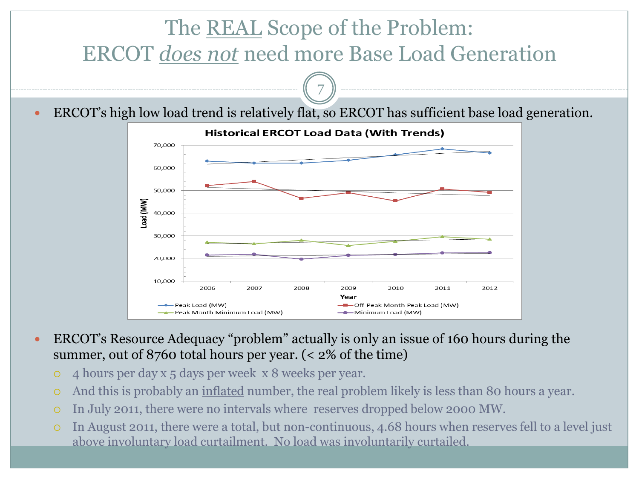#### The REAL Scope of the Problem: ERCOT *does not* need more Base Load Generation 7 ERCOT's high low load trend is relatively flat, so ERCOT has sufficient base load generation. **Historical ERCOT Load Data (With Trends)** 70,000 60,000 50,000 Load (MW) 40,000 30,000 20,000

 ERCOT's Resource Adequacy "problem" actually is only an issue of 160 hours during the summer, out of 8760 total hours per year. (< 2% of the time)

2008

4 hours per day x 5 days per week x 8 weeks per year.

2006

- Peak Month Minimum Load (MW)

-Peak Load (MW)

2007

10,000

- And this is probably an inflated number, the real problem likely is less than 80 hours a year.
- In July 2011, there were no intervals where reserves dropped below 2000 MW.
- In August 2011, there were a total, but non-continuous, 4.68 hours when reserves fell to a level just above involuntary load curtailment. No load was involuntarily curtailed.

2009

Year

2010

-Minimum Load (MW)

-Off-Peak Month Peak Load (MW)

2011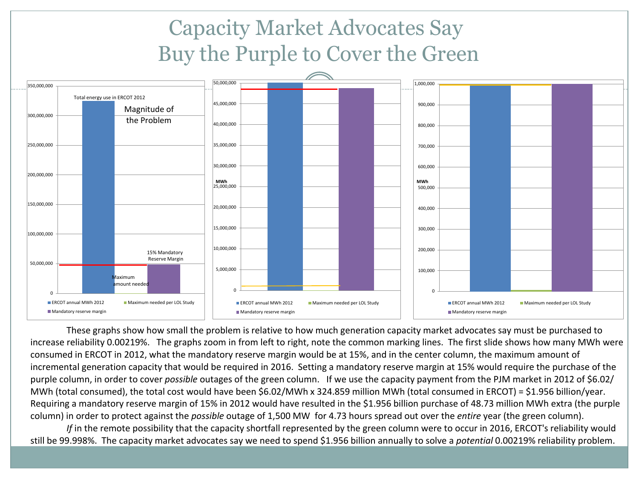### Capacity Market Advocates Say Buy the Purple to Cover the Green



These graphs show how small the problem is relative to how much generation capacity market advocates say must be purchased to increase reliability 0.00219%. The graphs zoom in from left to right, note the common marking lines. The first slide shows how many MWh were consumed in ERCOT in 2012, what the mandatory reserve margin would be at 15%, and in the center column, the maximum amount of incremental generation capacity that would be required in 2016. Setting a mandatory reserve margin at 15% would require the purchase of the purple column, in order to cover *possible* outages of the green column. If we use the capacity payment from the PJM market in 2012 of \$6.02/ MWh (total consumed), the total cost would have been \$6.02/MWh x 324.859 million MWh (total consumed in ERCOT) = \$1.956 billion/year. Requiring a mandatory reserve margin of 15% in 2012 would have resulted in the \$1.956 billion purchase of 48.73 million MWh extra (the purple column) in order to protect against the *possible* outage of 1,500 MW for 4.73 hours spread out over the *entire* year (the green column).

*If* in the remote possibility that the capacity shortfall represented by the green column were to occur in 2016, ERCOT's reliability would still be 99.998%. The capacity market advocates say we need to spend \$1.956 billion annually to solve a *potential* 0.00219% reliability problem.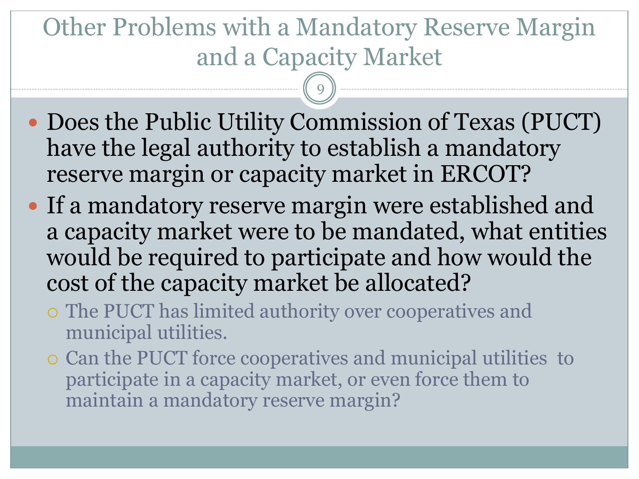## Other Problems with a Mandatory Reserve Margin and a Capacity Market

- Does the Public Utility Commission of Texas (PUCT) have the legal authority to establish a mandatory reserve margin or capacity market in ERCOT?
- If a mandatory reserve margin were established and a capacity market were to be mandated, what entities would be required to participate and how would the cost of the capacity market be allocated?
	- The PUCT has limited authority over cooperatives and municipal utilities.
	- Can the PUCT force cooperatives and municipal utilities to participate in a capacity market, or even force them to maintain a mandatory reserve margin?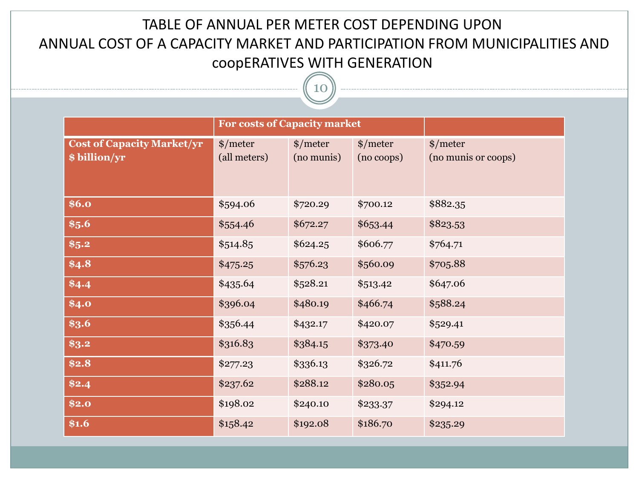#### TABLE OF ANNUAL PER METER COST DEPENDING UPON ANNUAL COST OF A CAPACITY MARKET AND PARTICIPATION FROM MUNICIPALITIES AND coopERATIVES WITH GENERATION

|                                                    | <b>For costs of Capacity market</b> |                              |                              |                                       |
|----------------------------------------------------|-------------------------------------|------------------------------|------------------------------|---------------------------------------|
| <b>Cost of Capacity Market/yr</b><br>\$ billion/yr | $*/$ meter<br>(all meters)          | $\gamma$ meter<br>(no munis) | $\gamma$ meter<br>(no coops) | $\gamma$ meter<br>(no munis or coops) |
| \$6.0                                              | \$594.06                            | \$720.29                     | \$700.12                     | \$882.35                              |
| \$5.6\$                                            | \$554.46                            | \$672.27                     | \$653.44                     | \$823.53                              |
| \$5.2\$                                            | \$514.85                            | \$624.25                     | \$606.77                     | \$764.71                              |
| \$4.8                                              | \$475.25                            | \$576.23                     | \$560.09                     | \$705.88                              |
| \$4.4                                              | \$435.64                            | \$528.21                     | \$513.42                     | \$647.06                              |
| \$4.0                                              | \$396.04                            | \$480.19                     | \$466.74                     | \$588.24                              |
| \$3.6                                              | \$356.44                            | \$432.17                     | \$420.07                     | \$529.41                              |
| \$3.2                                              | \$316.83                            | \$384.15                     | \$373.40                     | \$470.59                              |
| \$2.8                                              | \$277.23                            | \$336.13                     | \$326.72                     | \$411.76                              |
| \$2.4                                              | \$237.62                            | \$288.12                     | \$280.05                     | \$352.94                              |
| \$2.0                                              | \$198.02                            | \$240.10                     | \$233.37                     | \$294.12                              |
| \$1.6                                              | \$158.42                            | \$192.08                     | \$186.70                     | \$235.29                              |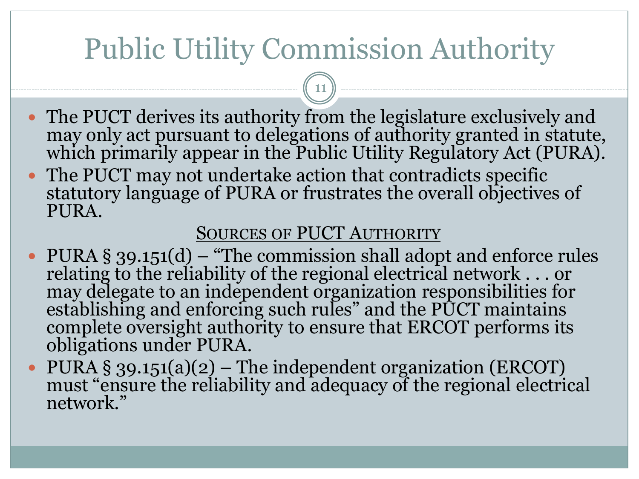## Public Utility Commission Authority

11

- The PUCT derives its authority from the legislature exclusively and may only act pursuant to delegations of authority granted in statute, which primarily appear in the Public Utility Regulatory Act (PURA).
- The PUCT may not undertake action that contradicts specific statutory language of PURA or frustrates the overall objectives of PURA.

#### SOURCES OF PUCT AUTHORITY

- PURA § 39.151(d) "The commission shall adopt and enforce rules relating to the reliability of the regional electrical network . . . or may delegate to an independent organization responsibilities for establishing and enforcing such rules" and the PUCT maintains complete oversight authority to ensure that ERCOT performs its obligations under PURA.
- PURA § 39.151(a)(2) The independent organization (ERCOT) must "ensure the reliability and adequacy of the regional electrical network."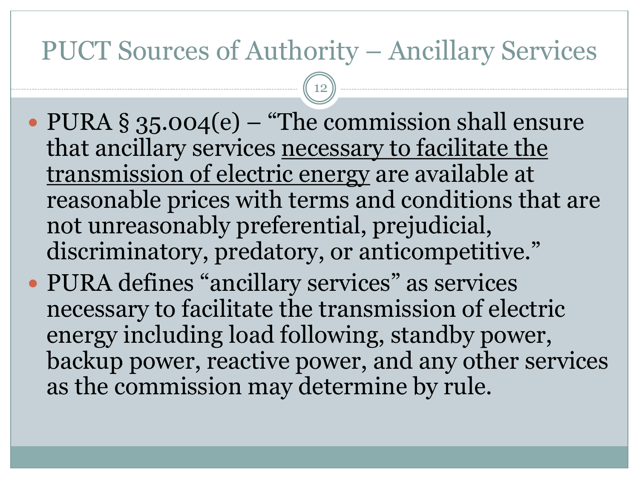### PUCT Sources of Authority – Ancillary Services

- PURA § 35.004(e) "The commission shall ensure that ancillary services necessary to facilitate the transmission of electric energy are available at reasonable prices with terms and conditions that are not unreasonably preferential, prejudicial, discriminatory, predatory, or anticompetitive."
- PURA defines "ancillary services" as services necessary to facilitate the transmission of electric energy including load following, standby power, backup power, reactive power, and any other services as the commission may determine by rule.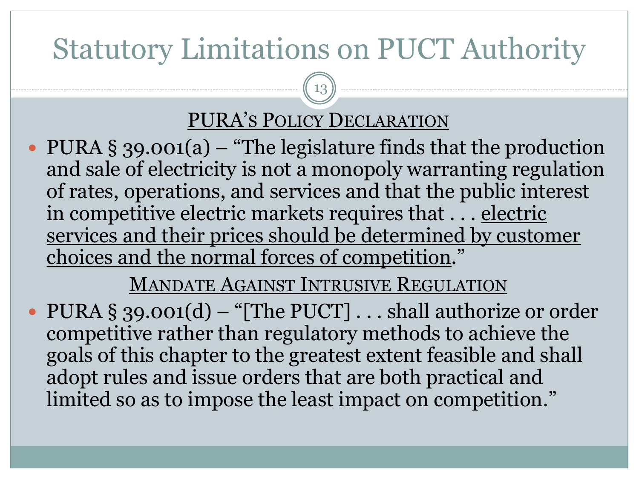## Statutory Limitations on PUCT Authority

### PURA'S POLICY DECLARATION

13

• PURA § 39.001(a) – "The legislature finds that the production and sale of electricity is not a monopoly warranting regulation of rates, operations, and services and that the public interest in competitive electric markets requires that . . . electric services and their prices should be determined by customer choices and the normal forces of competition."

### MANDATE AGAINST INTRUSIVE REGULATION

• PURA § 39.001(d) – "[The PUCT] . . . shall authorize or order competitive rather than regulatory methods to achieve the goals of this chapter to the greatest extent feasible and shall adopt rules and issue orders that are both practical and limited so as to impose the least impact on competition."